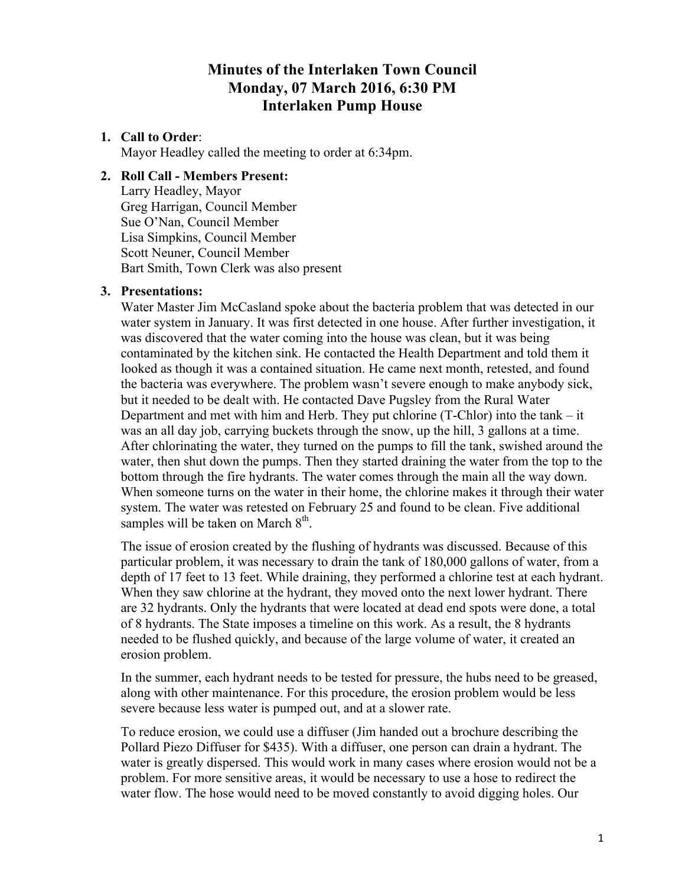# **Minutes of the Interlaken Town Council Monday, 07 March 2016, 6:30 PM Interlaken Pump House**

# **1. Call to Order**:

Mayor Headley called the meeting to order at 6:34pm.

### **2. Roll Call - Members Present:**

Larry Headley, Mayor Greg Harrigan, Council Member Sue O'Nan, Council Member Lisa Simpkins, Council Member Scott Neuner, Council Member Bart Smith, Town Clerk was also present

### **3. Presentations:**

Water Master Jim McCasland spoke about the bacteria problem that was detected in our water system in January. It was first detected in one house. After further investigation, it was discovered that the water coming into the house was clean, but it was being contaminated by the kitchen sink. He contacted the Health Department and told them it looked as though it was a contained situation. He came next month, retested, and found the bacteria was everywhere. The problem wasn't severe enough to make anybody sick, but it needed to be dealt with. He contacted Dave Pugsley from the Rural Water Department and met with him and Herb. They put chlorine (T-Chlor) into the tank – it was an all day job, carrying buckets through the snow, up the hill, 3 gallons at a time. After chlorinating the water, they turned on the pumps to fill the tank, swished around the water, then shut down the pumps. Then they started draining the water from the top to the bottom through the fire hydrants. The water comes through the main all the way down. When someone turns on the water in their home, the chlorine makes it through their water system. The water was retested on February 25 and found to be clean. Five additional samples will be taken on March  $8<sup>th</sup>$ .

The issue of erosion created by the flushing of hydrants was discussed. Because of this particular problem, it was necessary to drain the tank of 180,000 gallons of water, from a depth of 17 feet to 13 feet. While draining, they performed a chlorine test at each hydrant. When they saw chlorine at the hydrant, they moved onto the next lower hydrant. There are 32 hydrants. Only the hydrants that were located at dead end spots were done, a total of 8 hydrants. The State imposes a timeline on this work. As a result, the 8 hydrants needed to be flushed quickly, and because of the large volume of water, it created an erosion problem.

In the summer, each hydrant needs to be tested for pressure, the hubs need to be greased, along with other maintenance. For this procedure, the erosion problem would be less severe because less water is pumped out, and at a slower rate.

To reduce erosion, we could use a diffuser (Jim handed out a brochure describing the Pollard Piezo Diffuser for \$435). With a diffuser, one person can drain a hydrant. The water is greatly dispersed. This would work in many cases where erosion would not be a problem. For more sensitive areas, it would be necessary to use a hose to redirect the water flow. The hose would need to be moved constantly to avoid digging holes. Our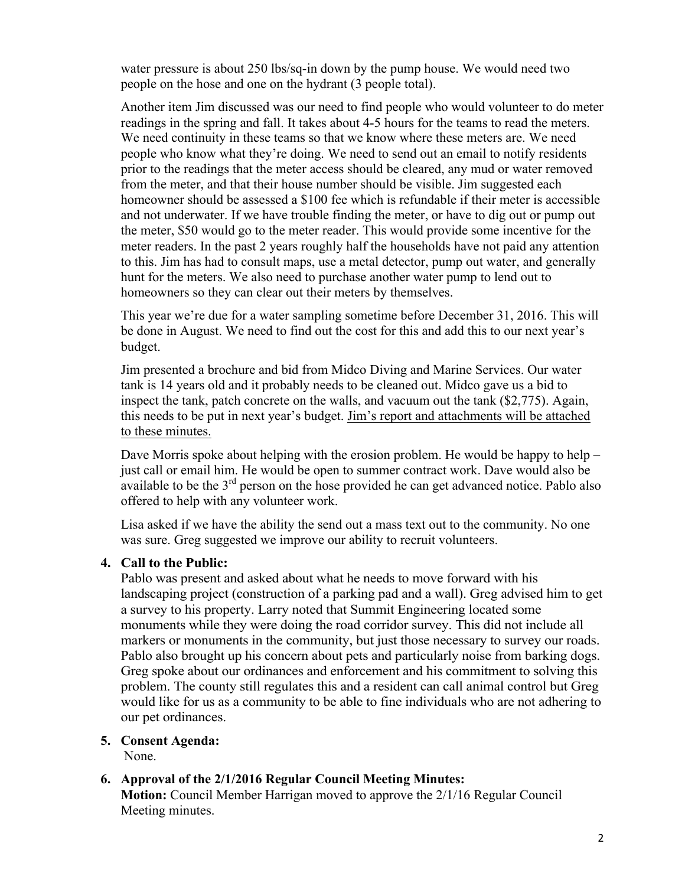water pressure is about 250 lbs/sq-in down by the pump house. We would need two people on the hose and one on the hydrant (3 people total).

Another item Jim discussed was our need to find people who would volunteer to do meter readings in the spring and fall. It takes about 4-5 hours for the teams to read the meters. We need continuity in these teams so that we know where these meters are. We need people who know what they're doing. We need to send out an email to notify residents prior to the readings that the meter access should be cleared, any mud or water removed from the meter, and that their house number should be visible. Jim suggested each homeowner should be assessed a \$100 fee which is refundable if their meter is accessible and not underwater. If we have trouble finding the meter, or have to dig out or pump out the meter, \$50 would go to the meter reader. This would provide some incentive for the meter readers. In the past 2 years roughly half the households have not paid any attention to this. Jim has had to consult maps, use a metal detector, pump out water, and generally hunt for the meters. We also need to purchase another water pump to lend out to homeowners so they can clear out their meters by themselves.

This year we're due for a water sampling sometime before December 31, 2016. This will be done in August. We need to find out the cost for this and add this to our next year's budget.

Jim presented a brochure and bid from Midco Diving and Marine Services. Our water tank is 14 years old and it probably needs to be cleaned out. Midco gave us a bid to inspect the tank, patch concrete on the walls, and vacuum out the tank (\$2,775). Again, this needs to be put in next year's budget. Jim's report and attachments will be attached to these minutes.

Dave Morris spoke about helping with the erosion problem. He would be happy to help – just call or email him. He would be open to summer contract work. Dave would also be available to be the  $3<sup>rd</sup>$  person on the hose provided he can get advanced notice. Pablo also offered to help with any volunteer work.

Lisa asked if we have the ability the send out a mass text out to the community. No one was sure. Greg suggested we improve our ability to recruit volunteers.

# **4. Call to the Public:**

Pablo was present and asked about what he needs to move forward with his landscaping project (construction of a parking pad and a wall). Greg advised him to get a survey to his property. Larry noted that Summit Engineering located some monuments while they were doing the road corridor survey. This did not include all markers or monuments in the community, but just those necessary to survey our roads. Pablo also brought up his concern about pets and particularly noise from barking dogs. Greg spoke about our ordinances and enforcement and his commitment to solving this problem. The county still regulates this and a resident can call animal control but Greg would like for us as a community to be able to fine individuals who are not adhering to our pet ordinances.

# **5. Consent Agenda:**

None.

# **6. Approval of the 2/1/2016 Regular Council Meeting Minutes:**

**Motion:** Council Member Harrigan moved to approve the 2/1/16 Regular Council Meeting minutes.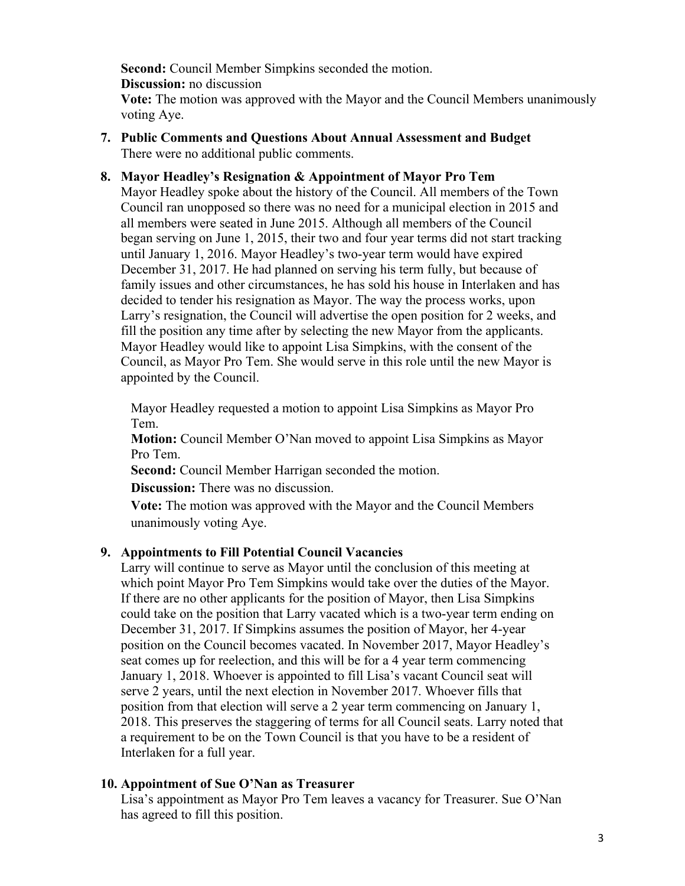**Second:** Council Member Simpkins seconded the motion. **Discussion:** no discussion

**Vote:** The motion was approved with the Mayor and the Council Members unanimously voting Aye.

**7. Public Comments and Questions About Annual Assessment and Budget** There were no additional public comments.

### **8. Mayor Headley's Resignation & Appointment of Mayor Pro Tem**

Mayor Headley spoke about the history of the Council. All members of the Town Council ran unopposed so there was no need for a municipal election in 2015 and all members were seated in June 2015. Although all members of the Council began serving on June 1, 2015, their two and four year terms did not start tracking until January 1, 2016. Mayor Headley's two-year term would have expired December 31, 2017. He had planned on serving his term fully, but because of family issues and other circumstances, he has sold his house in Interlaken and has decided to tender his resignation as Mayor. The way the process works, upon Larry's resignation, the Council will advertise the open position for 2 weeks, and fill the position any time after by selecting the new Mayor from the applicants. Mayor Headley would like to appoint Lisa Simpkins, with the consent of the Council, as Mayor Pro Tem. She would serve in this role until the new Mayor is appointed by the Council.

Mayor Headley requested a motion to appoint Lisa Simpkins as Mayor Pro Tem.

**Motion:** Council Member O'Nan moved to appoint Lisa Simpkins as Mayor Pro Tem.

**Second:** Council Member Harrigan seconded the motion.

**Discussion:** There was no discussion.

**Vote:** The motion was approved with the Mayor and the Council Members unanimously voting Aye.

### **9. Appointments to Fill Potential Council Vacancies**

Larry will continue to serve as Mayor until the conclusion of this meeting at which point Mayor Pro Tem Simpkins would take over the duties of the Mayor. If there are no other applicants for the position of Mayor, then Lisa Simpkins could take on the position that Larry vacated which is a two-year term ending on December 31, 2017. If Simpkins assumes the position of Mayor, her 4-year position on the Council becomes vacated. In November 2017, Mayor Headley's seat comes up for reelection, and this will be for a 4 year term commencing January 1, 2018. Whoever is appointed to fill Lisa's vacant Council seat will serve 2 years, until the next election in November 2017. Whoever fills that position from that election will serve a 2 year term commencing on January 1, 2018. This preserves the staggering of terms for all Council seats. Larry noted that a requirement to be on the Town Council is that you have to be a resident of Interlaken for a full year.

#### **10. Appointment of Sue O'Nan as Treasurer**

Lisa's appointment as Mayor Pro Tem leaves a vacancy for Treasurer. Sue O'Nan has agreed to fill this position.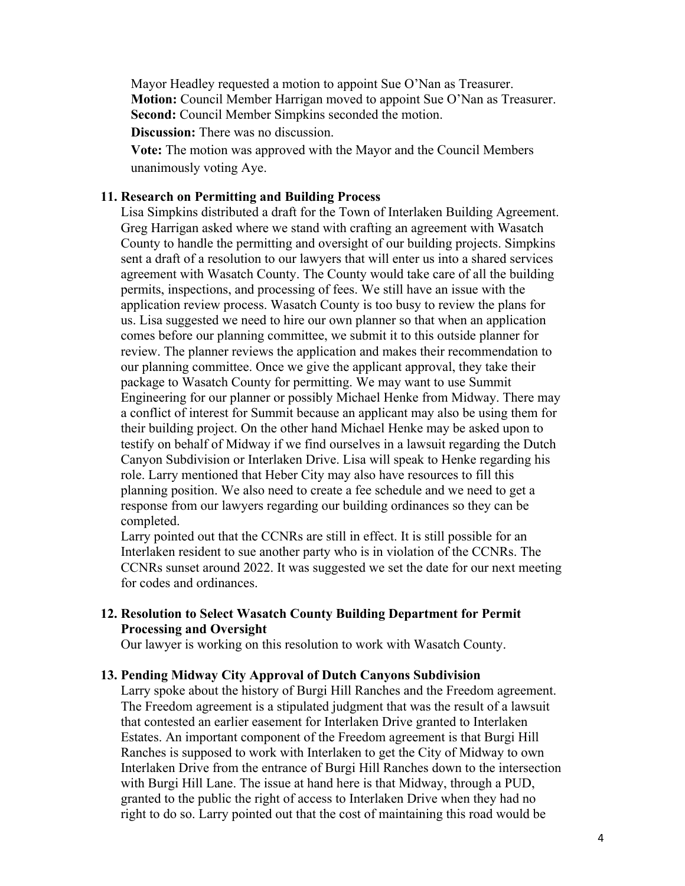Mayor Headley requested a motion to appoint Sue O'Nan as Treasurer. **Motion:** Council Member Harrigan moved to appoint Sue O'Nan as Treasurer. **Second:** Council Member Simpkins seconded the motion.

**Discussion:** There was no discussion.

**Vote:** The motion was approved with the Mayor and the Council Members unanimously voting Aye.

### **11. Research on Permitting and Building Process**

Lisa Simpkins distributed a draft for the Town of Interlaken Building Agreement. Greg Harrigan asked where we stand with crafting an agreement with Wasatch County to handle the permitting and oversight of our building projects. Simpkins sent a draft of a resolution to our lawyers that will enter us into a shared services agreement with Wasatch County. The County would take care of all the building permits, inspections, and processing of fees. We still have an issue with the application review process. Wasatch County is too busy to review the plans for us. Lisa suggested we need to hire our own planner so that when an application comes before our planning committee, we submit it to this outside planner for review. The planner reviews the application and makes their recommendation to our planning committee. Once we give the applicant approval, they take their package to Wasatch County for permitting. We may want to use Summit Engineering for our planner or possibly Michael Henke from Midway. There may a conflict of interest for Summit because an applicant may also be using them for their building project. On the other hand Michael Henke may be asked upon to testify on behalf of Midway if we find ourselves in a lawsuit regarding the Dutch Canyon Subdivision or Interlaken Drive. Lisa will speak to Henke regarding his role. Larry mentioned that Heber City may also have resources to fill this planning position. We also need to create a fee schedule and we need to get a response from our lawyers regarding our building ordinances so they can be completed.

Larry pointed out that the CCNRs are still in effect. It is still possible for an Interlaken resident to sue another party who is in violation of the CCNRs. The CCNRs sunset around 2022. It was suggested we set the date for our next meeting for codes and ordinances.

### **12. Resolution to Select Wasatch County Building Department for Permit Processing and Oversight**

Our lawyer is working on this resolution to work with Wasatch County.

#### **13. Pending Midway City Approval of Dutch Canyons Subdivision**

Larry spoke about the history of Burgi Hill Ranches and the Freedom agreement. The Freedom agreement is a stipulated judgment that was the result of a lawsuit that contested an earlier easement for Interlaken Drive granted to Interlaken Estates. An important component of the Freedom agreement is that Burgi Hill Ranches is supposed to work with Interlaken to get the City of Midway to own Interlaken Drive from the entrance of Burgi Hill Ranches down to the intersection with Burgi Hill Lane. The issue at hand here is that Midway, through a PUD, granted to the public the right of access to Interlaken Drive when they had no right to do so. Larry pointed out that the cost of maintaining this road would be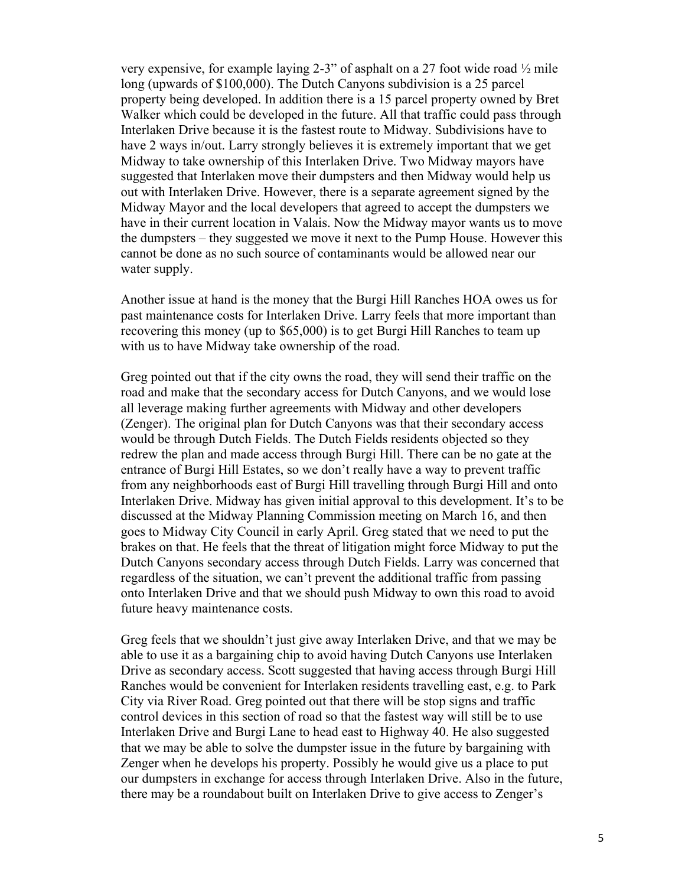very expensive, for example laying 2-3" of asphalt on a 27 foot wide road ½ mile long (upwards of \$100,000). The Dutch Canyons subdivision is a 25 parcel property being developed. In addition there is a 15 parcel property owned by Bret Walker which could be developed in the future. All that traffic could pass through Interlaken Drive because it is the fastest route to Midway. Subdivisions have to have 2 ways in/out. Larry strongly believes it is extremely important that we get Midway to take ownership of this Interlaken Drive. Two Midway mayors have suggested that Interlaken move their dumpsters and then Midway would help us out with Interlaken Drive. However, there is a separate agreement signed by the Midway Mayor and the local developers that agreed to accept the dumpsters we have in their current location in Valais. Now the Midway mayor wants us to move the dumpsters – they suggested we move it next to the Pump House. However this cannot be done as no such source of contaminants would be allowed near our water supply.

Another issue at hand is the money that the Burgi Hill Ranches HOA owes us for past maintenance costs for Interlaken Drive. Larry feels that more important than recovering this money (up to \$65,000) is to get Burgi Hill Ranches to team up with us to have Midway take ownership of the road.

Greg pointed out that if the city owns the road, they will send their traffic on the road and make that the secondary access for Dutch Canyons, and we would lose all leverage making further agreements with Midway and other developers (Zenger). The original plan for Dutch Canyons was that their secondary access would be through Dutch Fields. The Dutch Fields residents objected so they redrew the plan and made access through Burgi Hill. There can be no gate at the entrance of Burgi Hill Estates, so we don't really have a way to prevent traffic from any neighborhoods east of Burgi Hill travelling through Burgi Hill and onto Interlaken Drive. Midway has given initial approval to this development. It's to be discussed at the Midway Planning Commission meeting on March 16, and then goes to Midway City Council in early April. Greg stated that we need to put the brakes on that. He feels that the threat of litigation might force Midway to put the Dutch Canyons secondary access through Dutch Fields. Larry was concerned that regardless of the situation, we can't prevent the additional traffic from passing onto Interlaken Drive and that we should push Midway to own this road to avoid future heavy maintenance costs.

Greg feels that we shouldn't just give away Interlaken Drive, and that we may be able to use it as a bargaining chip to avoid having Dutch Canyons use Interlaken Drive as secondary access. Scott suggested that having access through Burgi Hill Ranches would be convenient for Interlaken residents travelling east, e.g. to Park City via River Road. Greg pointed out that there will be stop signs and traffic control devices in this section of road so that the fastest way will still be to use Interlaken Drive and Burgi Lane to head east to Highway 40. He also suggested that we may be able to solve the dumpster issue in the future by bargaining with Zenger when he develops his property. Possibly he would give us a place to put our dumpsters in exchange for access through Interlaken Drive. Also in the future, there may be a roundabout built on Interlaken Drive to give access to Zenger's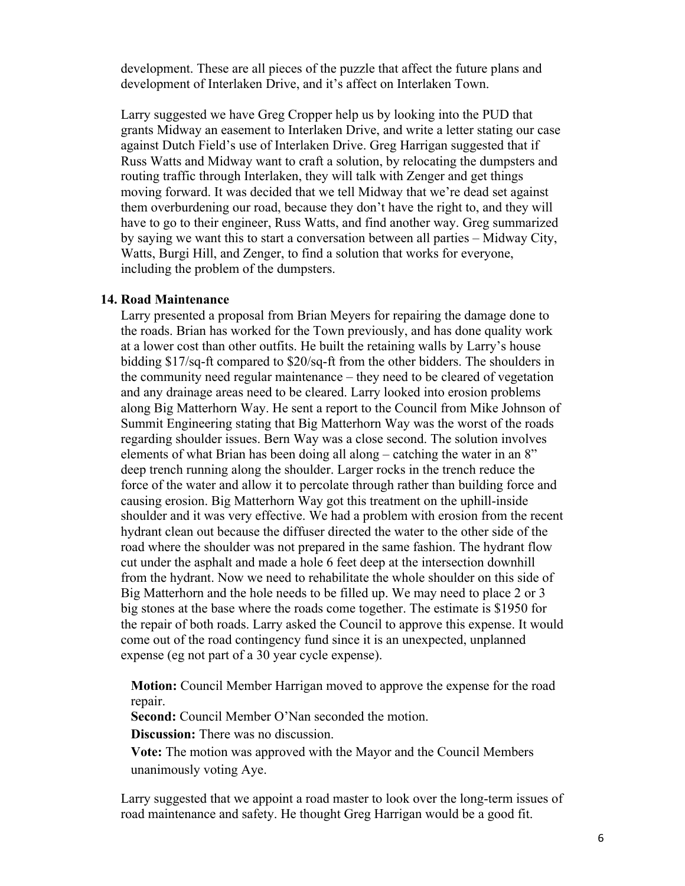development. These are all pieces of the puzzle that affect the future plans and development of Interlaken Drive, and it's affect on Interlaken Town.

Larry suggested we have Greg Cropper help us by looking into the PUD that grants Midway an easement to Interlaken Drive, and write a letter stating our case against Dutch Field's use of Interlaken Drive. Greg Harrigan suggested that if Russ Watts and Midway want to craft a solution, by relocating the dumpsters and routing traffic through Interlaken, they will talk with Zenger and get things moving forward. It was decided that we tell Midway that we're dead set against them overburdening our road, because they don't have the right to, and they will have to go to their engineer, Russ Watts, and find another way. Greg summarized by saying we want this to start a conversation between all parties – Midway City, Watts, Burgi Hill, and Zenger, to find a solution that works for everyone, including the problem of the dumpsters.

#### **14. Road Maintenance**

Larry presented a proposal from Brian Meyers for repairing the damage done to the roads. Brian has worked for the Town previously, and has done quality work at a lower cost than other outfits. He built the retaining walls by Larry's house bidding \$17/sq-ft compared to \$20/sq-ft from the other bidders. The shoulders in the community need regular maintenance – they need to be cleared of vegetation and any drainage areas need to be cleared. Larry looked into erosion problems along Big Matterhorn Way. He sent a report to the Council from Mike Johnson of Summit Engineering stating that Big Matterhorn Way was the worst of the roads regarding shoulder issues. Bern Way was a close second. The solution involves elements of what Brian has been doing all along – catching the water in an 8" deep trench running along the shoulder. Larger rocks in the trench reduce the force of the water and allow it to percolate through rather than building force and causing erosion. Big Matterhorn Way got this treatment on the uphill-inside shoulder and it was very effective. We had a problem with erosion from the recent hydrant clean out because the diffuser directed the water to the other side of the road where the shoulder was not prepared in the same fashion. The hydrant flow cut under the asphalt and made a hole 6 feet deep at the intersection downhill from the hydrant. Now we need to rehabilitate the whole shoulder on this side of Big Matterhorn and the hole needs to be filled up. We may need to place 2 or 3 big stones at the base where the roads come together. The estimate is \$1950 for the repair of both roads. Larry asked the Council to approve this expense. It would come out of the road contingency fund since it is an unexpected, unplanned expense (eg not part of a 30 year cycle expense).

**Motion:** Council Member Harrigan moved to approve the expense for the road repair.

**Second:** Council Member O'Nan seconded the motion.

**Discussion:** There was no discussion.

**Vote:** The motion was approved with the Mayor and the Council Members unanimously voting Aye.

Larry suggested that we appoint a road master to look over the long-term issues of road maintenance and safety. He thought Greg Harrigan would be a good fit.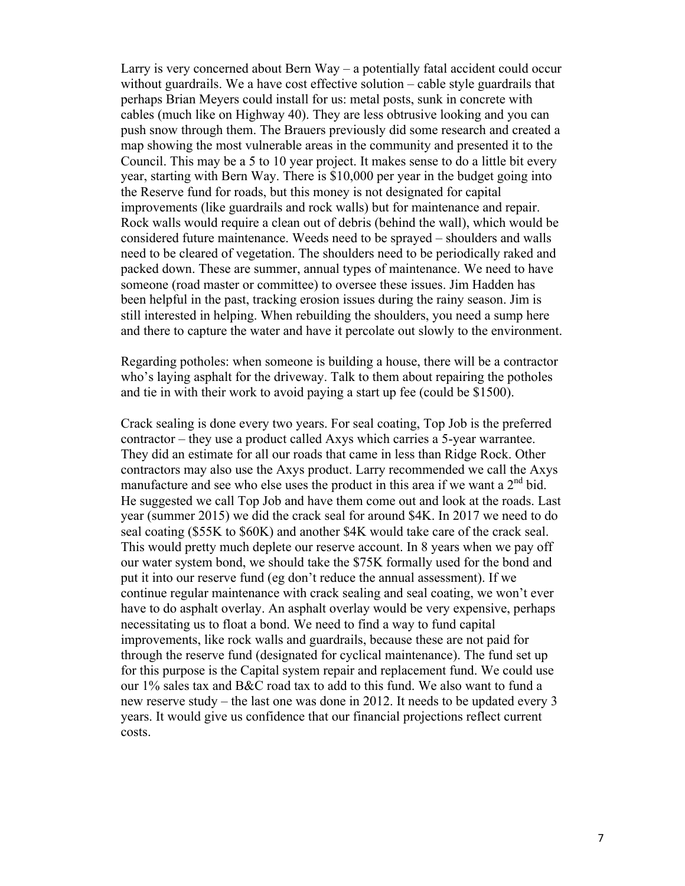Larry is very concerned about Bern  $Way - a$  potentially fatal accident could occur without guardrails. We a have cost effective solution – cable style guardrails that perhaps Brian Meyers could install for us: metal posts, sunk in concrete with cables (much like on Highway 40). They are less obtrusive looking and you can push snow through them. The Brauers previously did some research and created a map showing the most vulnerable areas in the community and presented it to the Council. This may be a 5 to 10 year project. It makes sense to do a little bit every year, starting with Bern Way. There is \$10,000 per year in the budget going into the Reserve fund for roads, but this money is not designated for capital improvements (like guardrails and rock walls) but for maintenance and repair. Rock walls would require a clean out of debris (behind the wall), which would be considered future maintenance. Weeds need to be sprayed – shoulders and walls need to be cleared of vegetation. The shoulders need to be periodically raked and packed down. These are summer, annual types of maintenance. We need to have someone (road master or committee) to oversee these issues. Jim Hadden has been helpful in the past, tracking erosion issues during the rainy season. Jim is still interested in helping. When rebuilding the shoulders, you need a sump here and there to capture the water and have it percolate out slowly to the environment.

Regarding potholes: when someone is building a house, there will be a contractor who's laying asphalt for the driveway. Talk to them about repairing the potholes and tie in with their work to avoid paying a start up fee (could be \$1500).

Crack sealing is done every two years. For seal coating, Top Job is the preferred contractor – they use a product called Axys which carries a 5-year warrantee. They did an estimate for all our roads that came in less than Ridge Rock. Other contractors may also use the Axys product. Larry recommended we call the Axys manufacture and see who else uses the product in this area if we want a  $2<sup>nd</sup>$  bid. He suggested we call Top Job and have them come out and look at the roads. Last year (summer 2015) we did the crack seal for around \$4K. In 2017 we need to do seal coating (\$55K to \$60K) and another \$4K would take care of the crack seal. This would pretty much deplete our reserve account. In 8 years when we pay off our water system bond, we should take the \$75K formally used for the bond and put it into our reserve fund (eg don't reduce the annual assessment). If we continue regular maintenance with crack sealing and seal coating, we won't ever have to do asphalt overlay. An asphalt overlay would be very expensive, perhaps necessitating us to float a bond. We need to find a way to fund capital improvements, like rock walls and guardrails, because these are not paid for through the reserve fund (designated for cyclical maintenance). The fund set up for this purpose is the Capital system repair and replacement fund. We could use our 1% sales tax and B&C road tax to add to this fund. We also want to fund a new reserve study – the last one was done in 2012. It needs to be updated every 3 years. It would give us confidence that our financial projections reflect current costs.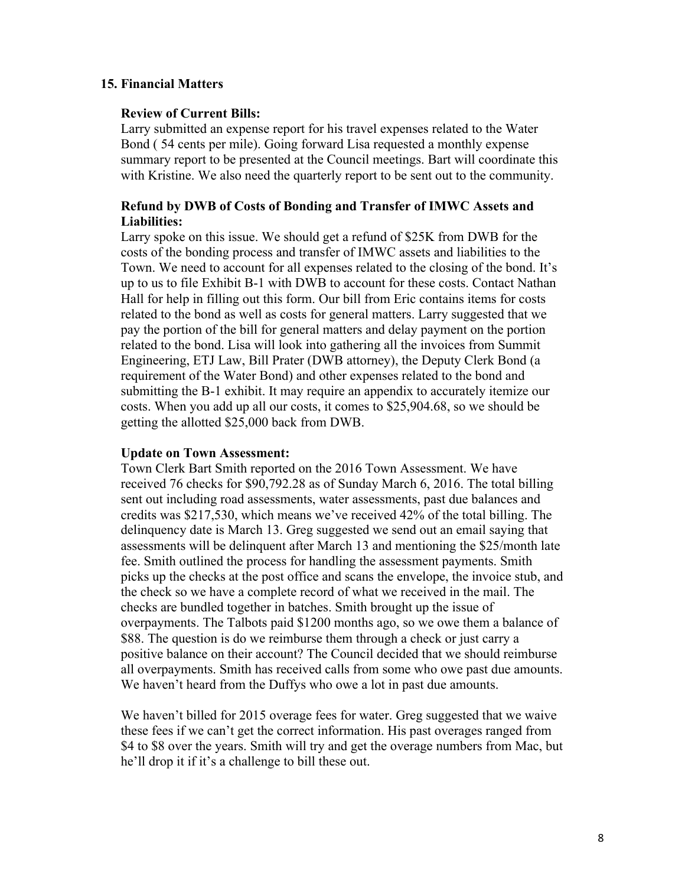### **15. Financial Matters**

### **Review of Current Bills:**

Larry submitted an expense report for his travel expenses related to the Water Bond ( 54 cents per mile). Going forward Lisa requested a monthly expense summary report to be presented at the Council meetings. Bart will coordinate this with Kristine. We also need the quarterly report to be sent out to the community.

### **Refund by DWB of Costs of Bonding and Transfer of IMWC Assets and Liabilities:**

Larry spoke on this issue. We should get a refund of \$25K from DWB for the costs of the bonding process and transfer of IMWC assets and liabilities to the Town. We need to account for all expenses related to the closing of the bond. It's up to us to file Exhibit B-1 with DWB to account for these costs. Contact Nathan Hall for help in filling out this form. Our bill from Eric contains items for costs related to the bond as well as costs for general matters. Larry suggested that we pay the portion of the bill for general matters and delay payment on the portion related to the bond. Lisa will look into gathering all the invoices from Summit Engineering, ETJ Law, Bill Prater (DWB attorney), the Deputy Clerk Bond (a requirement of the Water Bond) and other expenses related to the bond and submitting the B-1 exhibit. It may require an appendix to accurately itemize our costs. When you add up all our costs, it comes to \$25,904.68, so we should be getting the allotted \$25,000 back from DWB.

### **Update on Town Assessment:**

Town Clerk Bart Smith reported on the 2016 Town Assessment. We have received 76 checks for \$90,792.28 as of Sunday March 6, 2016. The total billing sent out including road assessments, water assessments, past due balances and credits was \$217,530, which means we've received 42% of the total billing. The delinquency date is March 13. Greg suggested we send out an email saying that assessments will be delinquent after March 13 and mentioning the \$25/month late fee. Smith outlined the process for handling the assessment payments. Smith picks up the checks at the post office and scans the envelope, the invoice stub, and the check so we have a complete record of what we received in the mail. The checks are bundled together in batches. Smith brought up the issue of overpayments. The Talbots paid \$1200 months ago, so we owe them a balance of \$88. The question is do we reimburse them through a check or just carry a positive balance on their account? The Council decided that we should reimburse all overpayments. Smith has received calls from some who owe past due amounts. We haven't heard from the Duffys who owe a lot in past due amounts.

We haven't billed for 2015 overage fees for water. Greg suggested that we waive these fees if we can't get the correct information. His past overages ranged from \$4 to \$8 over the years. Smith will try and get the overage numbers from Mac, but he'll drop it if it's a challenge to bill these out.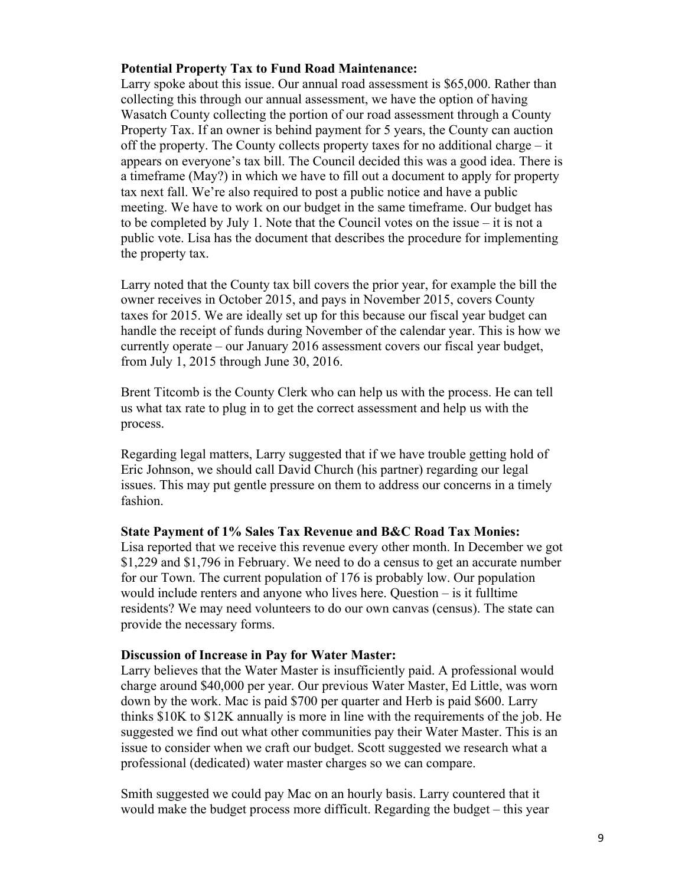### **Potential Property Tax to Fund Road Maintenance:**

Larry spoke about this issue. Our annual road assessment is \$65,000. Rather than collecting this through our annual assessment, we have the option of having Wasatch County collecting the portion of our road assessment through a County Property Tax. If an owner is behind payment for 5 years, the County can auction off the property. The County collects property taxes for no additional charge – it appears on everyone's tax bill. The Council decided this was a good idea. There is a timeframe (May?) in which we have to fill out a document to apply for property tax next fall. We're also required to post a public notice and have a public meeting. We have to work on our budget in the same timeframe. Our budget has to be completed by July 1. Note that the Council votes on the issue – it is not a public vote. Lisa has the document that describes the procedure for implementing the property tax.

Larry noted that the County tax bill covers the prior year, for example the bill the owner receives in October 2015, and pays in November 2015, covers County taxes for 2015. We are ideally set up for this because our fiscal year budget can handle the receipt of funds during November of the calendar year. This is how we currently operate – our January 2016 assessment covers our fiscal year budget, from July 1, 2015 through June 30, 2016.

Brent Titcomb is the County Clerk who can help us with the process. He can tell us what tax rate to plug in to get the correct assessment and help us with the process.

Regarding legal matters, Larry suggested that if we have trouble getting hold of Eric Johnson, we should call David Church (his partner) regarding our legal issues. This may put gentle pressure on them to address our concerns in a timely fashion.

#### **State Payment of 1% Sales Tax Revenue and B&C Road Tax Monies:**

Lisa reported that we receive this revenue every other month. In December we got \$1,229 and \$1,796 in February. We need to do a census to get an accurate number for our Town. The current population of 176 is probably low. Our population would include renters and anyone who lives here. Question – is it fulltime residents? We may need volunteers to do our own canvas (census). The state can provide the necessary forms.

#### **Discussion of Increase in Pay for Water Master:**

Larry believes that the Water Master is insufficiently paid. A professional would charge around \$40,000 per year. Our previous Water Master, Ed Little, was worn down by the work. Mac is paid \$700 per quarter and Herb is paid \$600. Larry thinks \$10K to \$12K annually is more in line with the requirements of the job. He suggested we find out what other communities pay their Water Master. This is an issue to consider when we craft our budget. Scott suggested we research what a professional (dedicated) water master charges so we can compare.

Smith suggested we could pay Mac on an hourly basis. Larry countered that it would make the budget process more difficult. Regarding the budget – this year